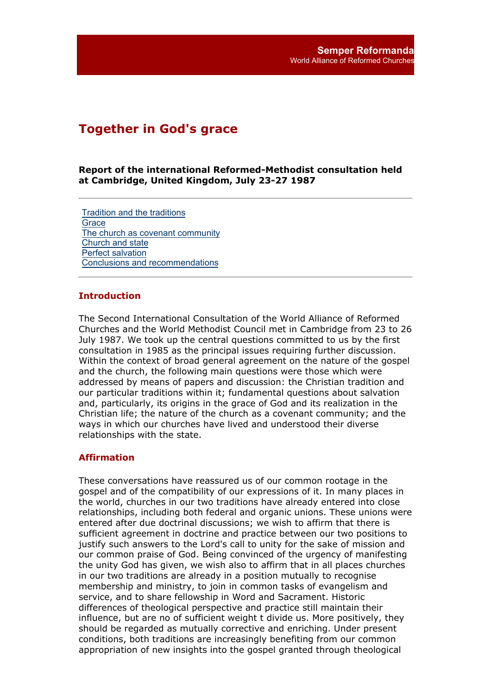# **Together in God's grace**

**Report of the international Reformed-Methodist consultation held at Cambridge, United Kingdom, July 23-27 1987** 

Tradition and the traditions **Grace** The church as covenant community Church and state Perfect salvation Conclusions and recommendations

## **Introduction**

The Second International Consultation of the World Alliance of Reformed Churches and the World Methodist Council met in Cambridge from 23 to 26 July 1987. We took up the central questions committed to us by the first consultation in 1985 as the principal issues requiring further discussion. Within the context of broad general agreement on the nature of the gospel and the church, the following main questions were those which were addressed by means of papers and discussion: the Christian tradition and our particular traditions within it; fundamental questions about salvation and, particularly, its origins in the grace of God and its realization in the Christian life; the nature of the church as a covenant community; and the ways in which our churches have lived and understood their diverse relationships with the state.

# **Affirmation**

These conversations have reassured us of our common rootage in the gospel and of the compatibility of our expressions of it. In many places in the world, churches in our two traditions have already entered into close relationships, including both federal and organic unions. These unions were entered after due doctrinal discussions; we wish to affirm that there is sufficient agreement in doctrine and practice between our two positions to justify such answers to the Lord's call to unity for the sake of mission and our common praise of God. Being convinced of the urgency of manifesting the unity God has given, we wish also to affirm that in all places churches in our two traditions are already in a position mutually to recognise membership and ministry, to join in common tasks of evangelism and service, and to share fellowship in Word and Sacrament. Historic differences of theological perspective and practice still maintain their influence, but are no of sufficient weight t divide us. More positively, they should be regarded as mutually corrective and enriching. Under present conditions, both traditions are increasingly benefiting from our common appropriation of new insights into the gospel granted through theological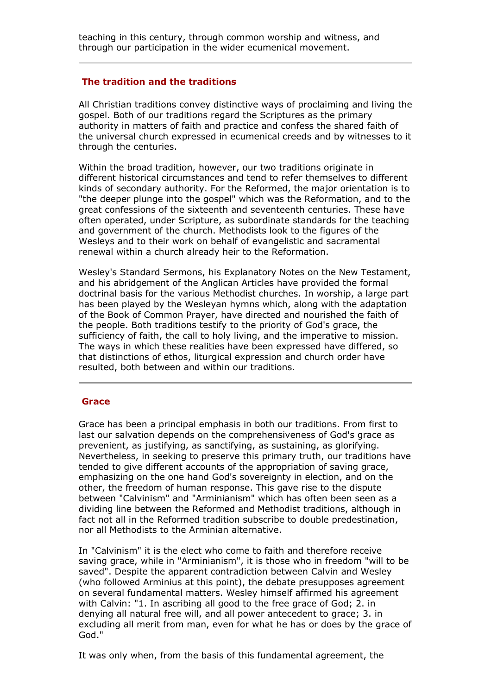teaching in this century, through common worship and witness, and through our participation in the wider ecumenical movement.

# **The tradition and the traditions**

All Christian traditions convey distinctive ways of proclaiming and living the gospel. Both of our traditions regard the Scriptures as the primary authority in matters of faith and practice and confess the shared faith of the universal church expressed in ecumenical creeds and by witnesses to it through the centuries.

Within the broad tradition, however, our two traditions originate in different historical circumstances and tend to refer themselves to different kinds of secondary authority. For the Reformed, the major orientation is to "the deeper plunge into the gospel" which was the Reformation, and to the great confessions of the sixteenth and seventeenth centuries. These have often operated, under Scripture, as subordinate standards for the teaching and government of the church. Methodists look to the figures of the Wesleys and to their work on behalf of evangelistic and sacramental renewal within a church already heir to the Reformation.

Wesley's Standard Sermons, his Explanatory Notes on the New Testament, and his abridgement of the Anglican Articles have provided the formal doctrinal basis for the various Methodist churches. In worship, a large part has been played by the Wesleyan hymns which, along with the adaptation of the Book of Common Prayer, have directed and nourished the faith of the people. Both traditions testify to the priority of God's grace, the sufficiency of faith, the call to holy living, and the imperative to mission. The ways in which these realities have been expressed have differed, so that distinctions of ethos, liturgical expression and church order have resulted, both between and within our traditions.

## **Grace**

Grace has been a principal emphasis in both our traditions. From first to last our salvation depends on the comprehensiveness of God's grace as prevenient, as justifying, as sanctifying, as sustaining, as glorifying. Nevertheless, in seeking to preserve this primary truth, our traditions have tended to give different accounts of the appropriation of saving grace, emphasizing on the one hand God's sovereignty in election, and on the other, the freedom of human response. This gave rise to the dispute between "Calvinism" and "Arminianism" which has often been seen as a dividing line between the Reformed and Methodist traditions, although in fact not all in the Reformed tradition subscribe to double predestination, nor all Methodists to the Arminian alternative.

In "Calvinism" it is the elect who come to faith and therefore receive saving grace, while in "Arminianism", it is those who in freedom "will to be saved". Despite the apparent contradiction between Calvin and Wesley (who followed Arminius at this point), the debate presupposes agreement on several fundamental matters. Wesley himself affirmed his agreement with Calvin: "1. In ascribing all good to the free grace of God; 2. in denying all natural free will, and all power antecedent to grace; 3. in excluding all merit from man, even for what he has or does by the grace of God."

It was only when, from the basis of this fundamental agreement, the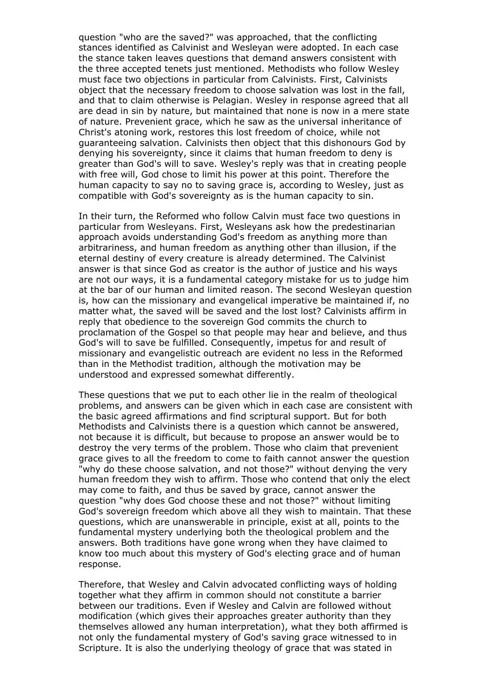question "who are the saved?" was approached, that the conflicting stances identified as Calvinist and Wesleyan were adopted. In each case the stance taken leaves questions that demand answers consistent with the three accepted tenets just mentioned. Methodists who follow Wesley must face two objections in particular from Calvinists. First, Calvinists object that the necessary freedom to choose salvation was lost in the fall, and that to claim otherwise is Pelagian. Wesley in response agreed that all are dead in sin by nature, but maintained that none is now in a mere state of nature. Prevenient grace, which he saw as the universal inheritance of Christ's atoning work, restores this lost freedom of choice, while not guaranteeing salvation. Calvinists then object that this dishonours God by denying his sovereignty, since it claims that human freedom to deny is greater than God's will to save. Wesley's reply was that in creating people with free will, God chose to limit his power at this point. Therefore the human capacity to say no to saving grace is, according to Wesley, just as compatible with God's sovereignty as is the human capacity to sin.

In their turn, the Reformed who follow Calvin must face two questions in particular from Wesleyans. First, Wesleyans ask how the predestinarian approach avoids understanding God's freedom as anything more than arbitrariness, and human freedom as anything other than illusion, if the eternal destiny of every creature is already determined. The Calvinist answer is that since God as creator is the author of justice and his ways are not our ways, it is a fundamental category mistake for us to judge him at the bar of our human and limited reason. The second Wesleyan question is, how can the missionary and evangelical imperative be maintained if, no matter what, the saved will be saved and the lost lost? Calvinists affirm in reply that obedience to the sovereign God commits the church to proclamation of the Gospel so that people may hear and believe, and thus God's will to save be fulfilled. Consequently, impetus for and result of missionary and evangelistic outreach are evident no less in the Reformed than in the Methodist tradition, although the motivation may be understood and expressed somewhat differently.

These questions that we put to each other lie in the realm of theological problems, and answers can be given which in each case are consistent with the basic agreed affirmations and find scriptural support. But for both Methodists and Calvinists there is a question which cannot be answered, not because it is difficult, but because to propose an answer would be to destroy the very terms of the problem. Those who claim that prevenient grace gives to all the freedom to come to faith cannot answer the question "why do these choose salvation, and not those?" without denying the very human freedom they wish to affirm. Those who contend that only the elect may come to faith, and thus be saved by grace, cannot answer the question "why does God choose these and not those?" without limiting God's sovereign freedom which above all they wish to maintain. That these questions, which are unanswerable in principle, exist at all, points to the fundamental mystery underlying both the theological problem and the answers. Both traditions have gone wrong when they have claimed to know too much about this mystery of God's electing grace and of human response.

Therefore, that Wesley and Calvin advocated conflicting ways of holding together what they affirm in common should not constitute a barrier between our traditions. Even if Wesley and Calvin are followed without modification (which gives their approaches greater authority than they themselves allowed any human interpretation), what they both affirmed is not only the fundamental mystery of God's saving grace witnessed to in Scripture. It is also the underlying theology of grace that was stated in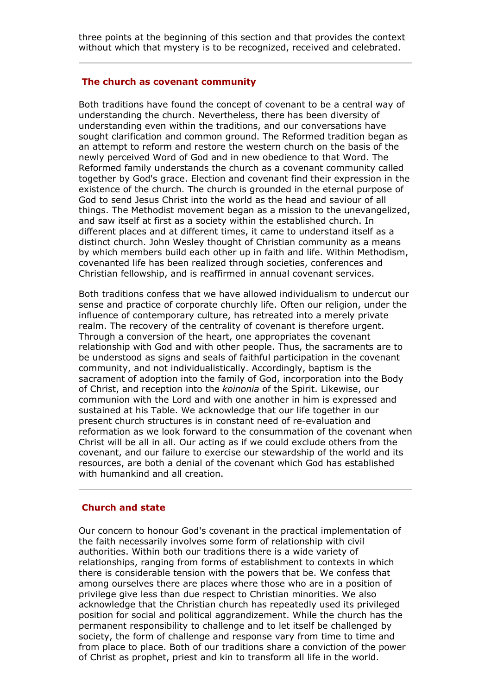three points at the beginning of this section and that provides the context without which that mystery is to be recognized, received and celebrated.

## **The church as covenant community**

Both traditions have found the concept of covenant to be a central way of understanding the church. Nevertheless, there has been diversity of understanding even within the traditions, and our conversations have sought clarification and common ground. The Reformed tradition began as an attempt to reform and restore the western church on the basis of the newly perceived Word of God and in new obedience to that Word. The Reformed family understands the church as a covenant community called together by God's grace. Election and covenant find their expression in the existence of the church. The church is grounded in the eternal purpose of God to send Jesus Christ into the world as the head and saviour of all things. The Methodist movement began as a mission to the unevangelized, and saw itself at first as a society within the established church. In different places and at different times, it came to understand itself as a distinct church. John Wesley thought of Christian community as a means by which members build each other up in faith and life. Within Methodism, covenanted life has been realized through societies, conferences and Christian fellowship, and is reaffirmed in annual covenant services.

Both traditions confess that we have allowed individualism to undercut our sense and practice of corporate churchly life. Often our religion, under the influence of contemporary culture, has retreated into a merely private realm. The recovery of the centrality of covenant is therefore urgent. Through a conversion of the heart, one appropriates the covenant relationship with God and with other people. Thus, the sacraments are to be understood as signs and seals of faithful participation in the covenant community, and not individualistically. Accordingly, baptism is the sacrament of adoption into the family of God, incorporation into the Body of Christ, and reception into the *koinonia* of the Spirit. Likewise, our communion with the Lord and with one another in him is expressed and sustained at his Table. We acknowledge that our life together in our present church structures is in constant need of re-evaluation and reformation as we look forward to the consummation of the covenant when Christ will be all in all. Our acting as if we could exclude others from the covenant, and our failure to exercise our stewardship of the world and its resources, are both a denial of the covenant which God has established with humankind and all creation.

### **Church and state**

Our concern to honour God's covenant in the practical implementation of the faith necessarily involves some form of relationship with civil authorities. Within both our traditions there is a wide variety of relationships, ranging from forms of establishment to contexts in which there is considerable tension with the powers that be. We confess that among ourselves there are places where those who are in a position of privilege give less than due respect to Christian minorities. We also acknowledge that the Christian church has repeatedly used its privileged position for social and political aggrandizement. While the church has the permanent responsibility to challenge and to let itself be challenged by society, the form of challenge and response vary from time to time and from place to place. Both of our traditions share a conviction of the power of Christ as prophet, priest and kin to transform all life in the world.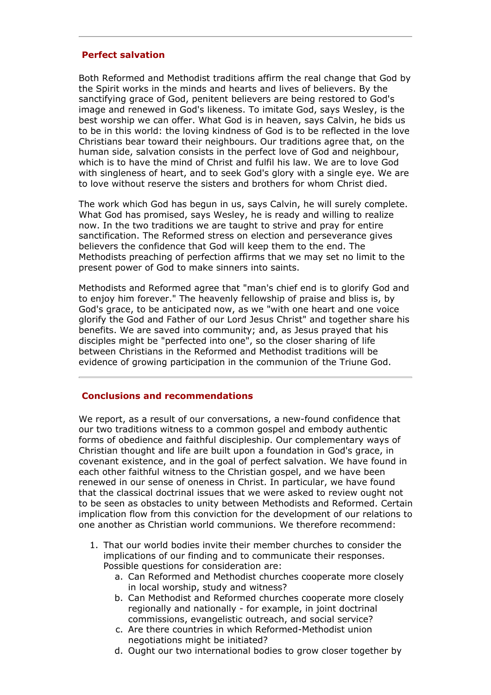# **Perfect salvation**

Both Reformed and Methodist traditions affirm the real change that God by the Spirit works in the minds and hearts and lives of believers. By the sanctifying grace of God, penitent believers are being restored to God's image and renewed in God's likeness. To imitate God, says Wesley, is the best worship we can offer. What God is in heaven, says Calvin, he bids us to be in this world: the loving kindness of God is to be reflected in the love Christians bear toward their neighbours. Our traditions agree that, on the human side, salvation consists in the perfect love of God and neighbour, which is to have the mind of Christ and fulfil his law. We are to love God with singleness of heart, and to seek God's glory with a single eye. We are to love without reserve the sisters and brothers for whom Christ died.

The work which God has begun in us, says Calvin, he will surely complete. What God has promised, says Wesley, he is ready and willing to realize now. In the two traditions we are taught to strive and pray for entire sanctification. The Reformed stress on election and perseverance gives believers the confidence that God will keep them to the end. The Methodists preaching of perfection affirms that we may set no limit to the present power of God to make sinners into saints.

Methodists and Reformed agree that "man's chief end is to glorify God and to enjoy him forever." The heavenly fellowship of praise and bliss is, by God's grace, to be anticipated now, as we "with one heart and one voice glorify the God and Father of our Lord Jesus Christ" and together share his benefits. We are saved into community; and, as Jesus prayed that his disciples might be "perfected into one", so the closer sharing of life between Christians in the Reformed and Methodist traditions will be evidence of growing participation in the communion of the Triune God.

#### **Conclusions and recommendations**

We report, as a result of our conversations, a new-found confidence that our two traditions witness to a common gospel and embody authentic forms of obedience and faithful discipleship. Our complementary ways of Christian thought and life are built upon a foundation in God's grace, in covenant existence, and in the goal of perfect salvation. We have found in each other faithful witness to the Christian gospel, and we have been renewed in our sense of oneness in Christ. In particular, we have found that the classical doctrinal issues that we were asked to review ought not to be seen as obstacles to unity between Methodists and Reformed. Certain implication flow from this conviction for the development of our relations to one another as Christian world communions. We therefore recommend:

- 1. That our world bodies invite their member churches to consider the implications of our finding and to communicate their responses. Possible questions for consideration are:
	- Can Reformed and Methodist churches cooperate more closely a. in local worship, study and witness?
	- b. Can Methodist and Reformed churches cooperate more closely regionally and nationally - for example, in joint doctrinal commissions, evangelistic outreach, and social service?
	- c. Are there countries in which Reformed-Methodist union negotiations might be initiated?
	- d. Ought our two international bodies to grow closer together by